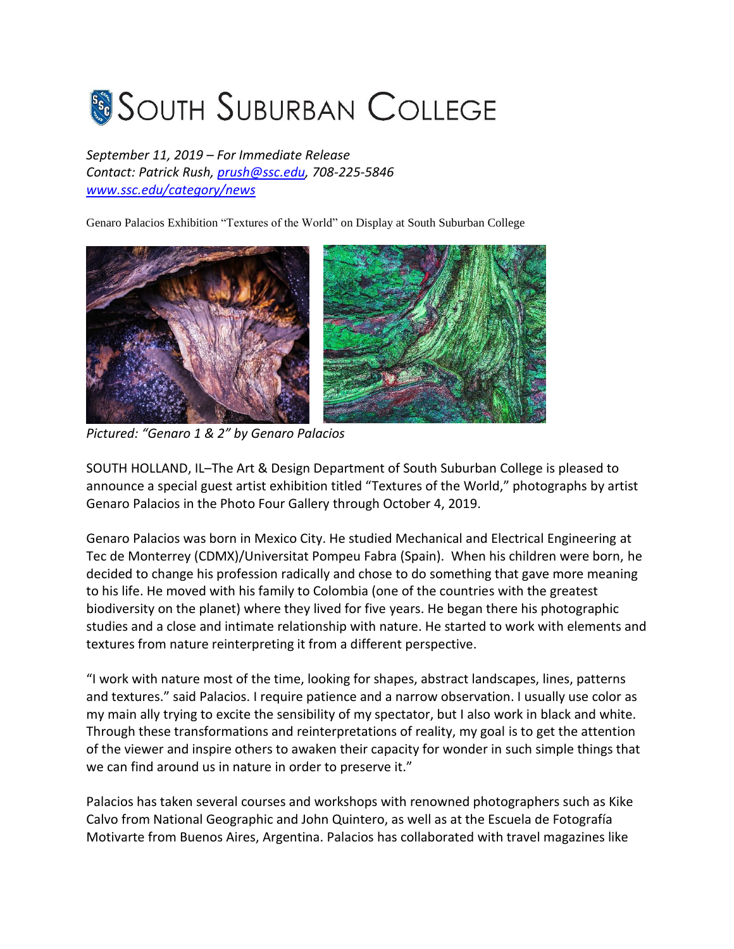## **SOUTH SUBURBAN COLLEGE**

*September 11, 2019 – For Immediate Release Contact: Patrick Rush, [prush@ssc.edu,](mailto:prush@ssc.edu) 708-225-5846 [www.ssc.edu/category/news](http://www.ssc.edu/category/news)*

Genaro Palacios Exhibition "Textures of the World" on Display at South Suburban College



*Pictured: "Genaro 1 & 2" by Genaro Palacios*

SOUTH HOLLAND, IL–The Art & Design Department of South Suburban College is pleased to announce a special guest artist exhibition titled "Textures of the World," photographs by artist Genaro Palacios in the Photo Four Gallery through October 4, 2019.

Genaro Palacios was born in Mexico City. He studied Mechanical and Electrical Engineering at Tec de Monterrey (CDMX)/Universitat Pompeu Fabra (Spain). When his children were born, he decided to change his profession radically and chose to do something that gave more meaning to his life. He moved with his family to Colombia (one of the countries with the greatest biodiversity on the planet) where they lived for five years. He began there his photographic studies and a close and intimate relationship with nature. He started to work with elements and textures from nature reinterpreting it from a different perspective.

"I work with nature most of the time, looking for shapes, abstract landscapes, lines, patterns and textures." said Palacios. I require patience and a narrow observation. I usually use color as my main ally trying to excite the sensibility of my spectator, but I also work in black and white. Through these transformations and reinterpretations of reality, my goal is to get the attention of the viewer and inspire others to awaken their capacity for wonder in such simple things that we can find around us in nature in order to preserve it."

Palacios has taken several courses and workshops with renowned photographers such as Kike Calvo from National Geographic and John Quintero, as well as at the Escuela de Fotografía Motivarte from Buenos Aires, Argentina. Palacios has collaborated with travel magazines like